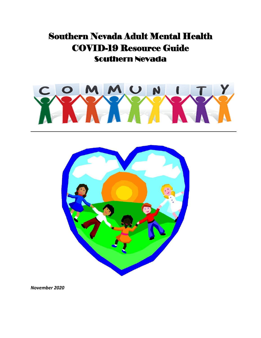# Southern Nevada Adult Mental Health COVID-19 Resource Guide Southern Nevada





*November 2020*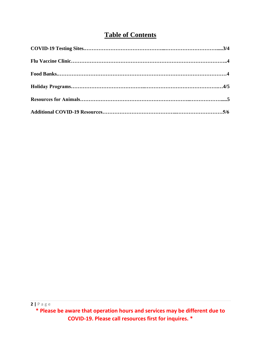# **Table of Contents**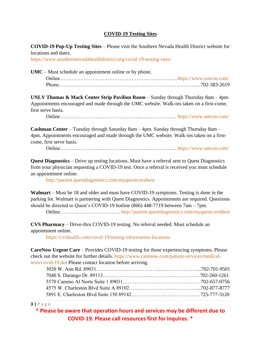# **COVID-19 Testing Sites**

**COVID-19 Pop-Up Testing Sites** – Please visit the Southern Nevada Health District website for locations and dates.

<https://www.southernnevadahealthdistrict.org/covid-19-testing-sites/>

**UMC** – Must schedule an appointment online or by phone.

**UNLV Thomas & Mack Center Strip Pavilion Room** – Sunday through Thursday 8am – 4pm. Appointments encouraged and made through the UMC website. Walk-ins taken on a first-come, first serve basis.

Online………………………………………...………………… <https://www.umcsn.com/>

**Cashman Center** – Tuesday through Saturday 8am – 4pm. Sunday through Thursday 8am – 4pm. Appointments encouraged and made through the UMC website. Walk-ins taken on a firstcome, first serve basis.

Online………………………………………...…………………<https://www.umcsn.com/>

**Quest Diagnostics** – Drive up testing locations. Must have a referral sent to Quest Diagnostics from your physician requesting a COVID-19 test. Once a referral is received you must schedule an appointment online.

<http://patient.questdiagnostics.com/myquestcovidtest>

**Walmart** – Must be 18 and older and must have COVID-19 symptoms. Testing is done in the parking lot. Walmart is partnering with Quest Diagnostics. Appointments are required. Questions should be directed to Quest's COVID-19 hotline (866) 448-7719 between 7am – 7pm.

Online………..…………………….<http://patient.questdiagnostics.com/myquestcovidtest>

**CVS Pharmacy** – Drive-thru COVID-19 testing. No referral needed. Must schedule an appointment online.

<https://cvshealth.com/covid-19/testing-information-locations>

**CareNow Urgent Care** – Provides COVID-19 testing for those experiencing symptoms. Please check out the website for further details. [https://www.carenow.com/patient-services/medical](https://www.carenow.com/patient-services/medical-tests/covid-19.dot)[tests/covid-19.dot](https://www.carenow.com/patient-services/medical-tests/covid-19.dot) Please contact location before arriving.

#### **3 |** P a g e

**\* Please be aware that operation hours and services may be different due to COVID-19. Please call resources first for inquires. \***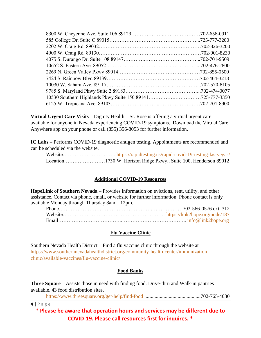**Virtual Urgent Care Visits** – Dignity Health – St. Rose is offering a virtual urgent care available for anyone in Nevada experiencing COVID-19 symptoms. Download the Virtual Care Anywhere app on your phone or call (855) 356-8053 for further information.

**IC Labs –** Performs COVID-19 diagnostic antigen testing. Appointments are recommended and can be scheduled via the website.

Website………………………….<https://rapidtesting.us/rapid-covid-19-testing-las-vegas/> Location……………………1730 W. Horizon Ridge Pkwy., Suite 100, Henderson 89012

# **Additional COVID-19 Resources**

**HopeLink of Southern Nevada** – Provides information on evictions, rent, utility, and other assistance. Contact via phone, email, or website for further information. Phone contact is only available Monday through Thursday 8am – 12pm.

# **Flu Vaccine Clinic**

Southern Nevada Health District – Find a flu vaccine clinic through the website at [https://www.southernnevadahealthdistrict.org/community-health-center/immunization](https://www.southernnevadahealthdistrict.org/community-health-center/immunization-clinic/available-vaccines/flu-vaccine-clinic/)[clinic/available-vaccines/flu-vaccine-clinic/](https://www.southernnevadahealthdistrict.org/community-health-center/immunization-clinic/available-vaccines/flu-vaccine-clinic/)

#### **Food Banks**

**Three Square** – Assists those in need with finding food. Drive-thru and Walk-in pantries available. 43 food distribution sites.

<https://www.threesquare.org/get-help/find-food> ............................................702-765-4030

**4 |** P a g e

**\* Please be aware that operation hours and services may be different due to COVID-19. Please call resources first for inquires. \***